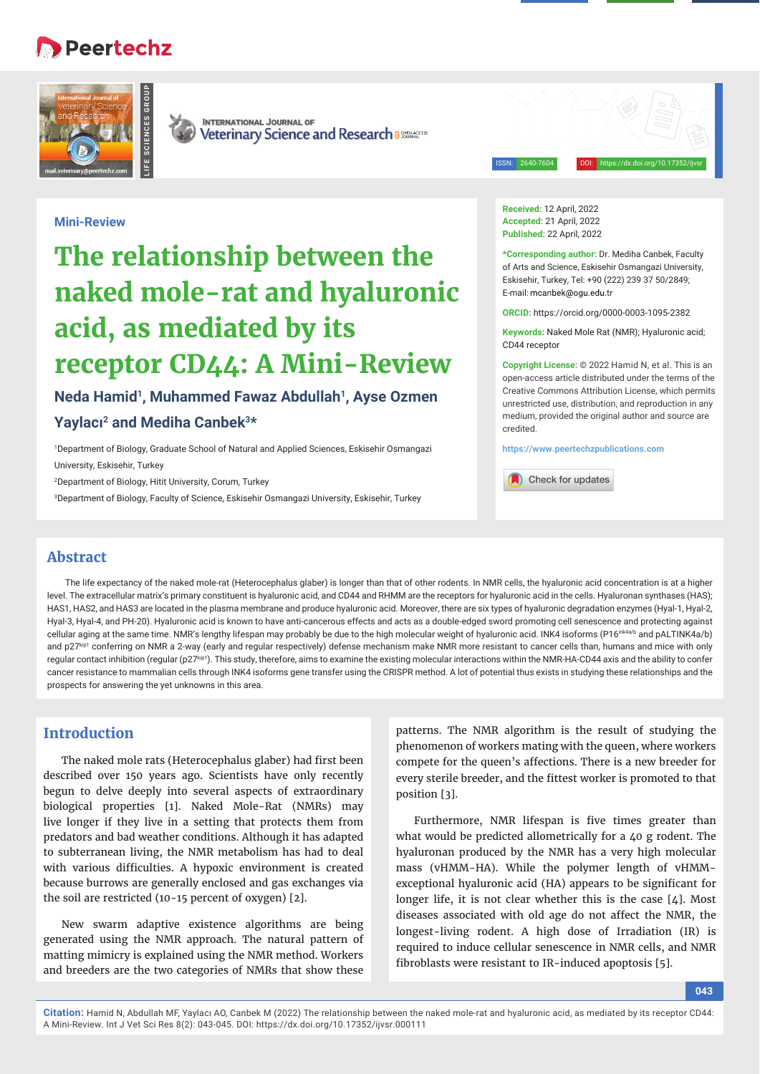## **Peertechz**





**INTERNATIONAL JOURNAL OF** Veterinary Science and Research a 886846055

ISSN: 2640-7604 DOI: https://dx.doi.org/10.17352/ijvsr

#### **Mini-Review**

# **The relationship between the naked mole-rat and hyaluronic acid, as mediated by its receptor CD44: A Mini-Review**

### **Neda Hamid1, Muhammed Fawaz Abdullah1, Ayse Ozmen Yaylacı 2 and Mediha Canbek3\***

1 Department of Biology, Graduate School of Natural and Applied Sciences, Eskisehir Osmangazi University, Eskisehir, Turkey

2 Department of Biology, Hitit University, Corum, Turkey

3 Department of Biology, Faculty of Science, Eskisehir Osmangazi University, Eskisehir, Turkey

**Received:** 12 April, 2022 **Accepted:** 21 April, 2022 **Published:** 22 April, 2022

**\*Corresponding author:** Dr. Mediha Canbek, Faculty of Arts and Science, Eskisehir Osmangazi University, Eskisehir, Turkey, Tel: +90 (222) 239 37 50/2849; E-mail: mcanbek@ogu.edu.tr

**ORCID:** https://orcid.org/0000-0003-1095-2382

**Keywords:** Naked Mole Rat (NMR); Hyaluronic acid; CD44 receptor

**Copyright License:** © 2022 Hamid N, et al. This is an open-access article distributed under the terms of the Creative Commons Attribution License, which permits unrestricted use, distribution, and reproduction in any medium, provided the original author and source are credited.

**https://www.peertechzpublications.com**

Check for updates

#### **Abstract**

The life expectancy of the naked mole-rat (Heterocephalus glaber) is longer than that of other rodents. In NMR cells, the hyaluronic acid concentration is at a higher level. The extracellular matrix's primary constituent is hyaluronic acid, and CD44 and RHMM are the receptors for hyaluronic acid in the cells. Hyaluronan synthases (HAS); HAS1, HAS2, and HAS3 are located in the plasma membrane and produce hyaluronic acid. Moreover, there are six types of hyaluronic degradation enzymes (Hyal-1, Hyal-2, Hyal-3, Hyal-4, and PH-20). Hyaluronic acid is known to have anti-cancerous effects and acts as a double-edged sword promoting cell senescence and protecting against cellular aging at the same time. NMR's lengthy lifespan may probably be due to the high molecular weight of hyaluronic acid. INK4 isoforms (P16<sup>ink4a/b</sup> and pALTINK4a/b) and p27kip1 conferring on NMR a 2-way (early and regular respectively) defense mechanism make NMR more resistant to cancer cells than, humans and mice with only regular contact inhibition (regular (p27kip1). This study, therefore, aims to examine the existing molecular interactions within the NMR-HA-CD44 axis and the ability to confer cancer resistance to mammalian cells through INK4 isoforms gene transfer using the CRISPR method. A lot of potential thus exists in studying these relationships and the prospects for answering the yet unknowns in this area.

#### **Introduction**

The naked mole rats (Heterocephalus glaber) had first been described over 150 years ago. Scientists have only recently begun to delve deeply into several aspects of extraordinary biological properties [1]. Naked Mole-Rat (NMRs) may live longer if they live in a setting that protects them from predators and bad weather conditions. Although it has adapted to subterranean living, the NMR metabolism has had to deal with various difficulties. A hypoxic environment is created because burrows are generally enclosed and gas exchanges via the soil are restricted (10-15 percent of oxygen) [2].

New swarm adaptive existence algorithms are being generated using the NMR approach. The natural pattern of matting mimicry is explained using the NMR method. Workers and breeders are the two categories of NMRs that show these

patterns. The NMR algorithm is the result of studying the phenomenon of workers mating with the queen, where workers compete for the queen's affections. There is a new breeder for every sterile breeder, and the fittest worker is promoted to that position [3].

Furthermore, NMR lifespan is five times greater than what would be predicted allometrically for a 40 g rodent. The hyaluronan produced by the NMR has a very high molecular mass (vHMM-HA). While the polymer length of vHMMexceptional hyaluronic acid (HA) appears to be significant for longer life, it is not clear whether this is the case [4]. Most diseases associated with old age do not affect the NMR, the longest-living rodent. A high dose of Irradiation (IR) is required to induce cellular senescence in NMR cells, and NMR fibroblasts were resistant to IR-induced apoptosis [5].

**Citation:** Hamid N, Abdullah MF, Yaylacı AO, Canbek M (2022) The relationship between the naked mole-rat and hyaluronic acid, as mediated by its receptor CD44: A Mini-Review. Int J Vet Sci Res 8(2): 043-045. DOI: https://dx.doi.org/10.17352/ijvsr.000111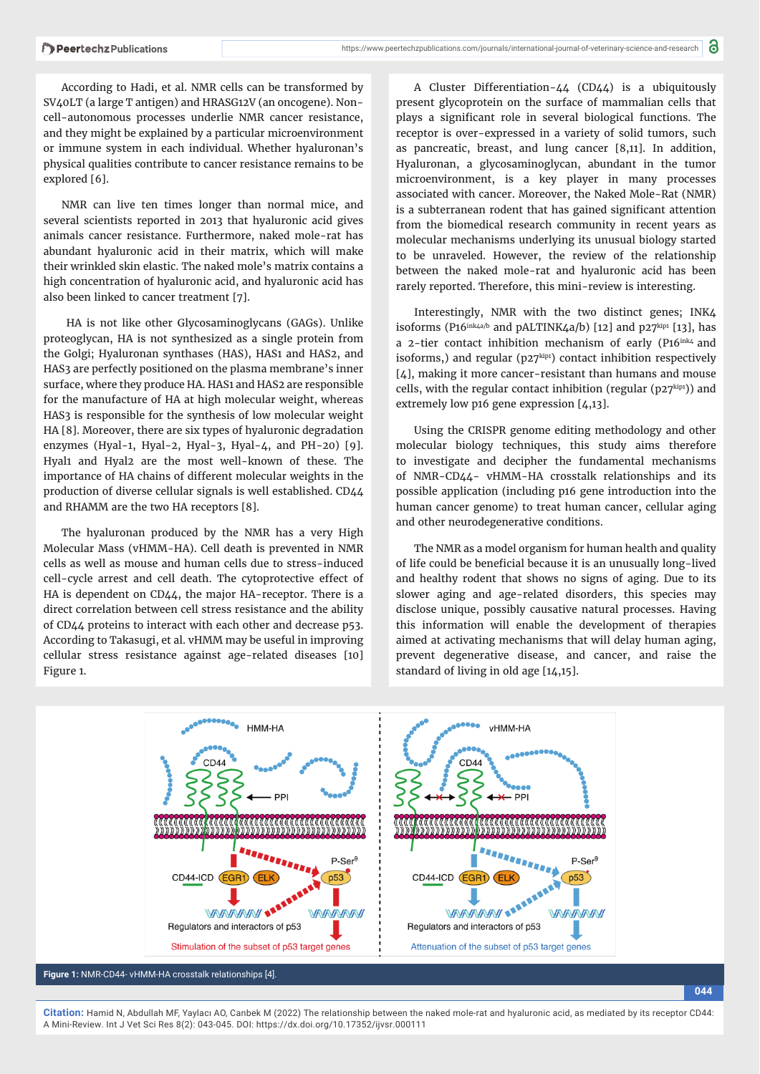According to Hadi, et al. NMR cells can be transformed by SV40LT (a large T antigen) and HRASG12V (an oncogene). Noncell-autonomous processes underlie NMR cancer resistance, and they might be explained by a particular microenvironment or immune system in each individual. Whether hyaluronan's physical qualities contribute to cancer resistance remains to be explored [6].

NMR can live ten times longer than normal mice, and several scientists reported in 2013 that hyaluronic acid gives animals cancer resistance. Furthermore, naked mole-rat has abundant hyaluronic acid in their matrix, which will make their wrinkled skin elastic. The naked mole's matrix contains a high concentration of hyaluronic acid, and hyaluronic acid has also been linked to cancer treatment [7].

 HA is not like other Glycosaminoglycans (GAGs). Unlike proteoglycan, HA is not synthesized as a single protein from the Golgi; Hyaluronan synthases (HAS), HAS1 and HAS2, and HAS3 are perfectly positioned on the plasma membrane's inner surface, where they produce HA. HAS1 and HAS2 are responsible for the manufacture of HA at high molecular weight, whereas HAS3 is responsible for the synthesis of low molecular weight HA [8]. Moreover, there are six types of hyaluronic degradation enzymes (Hyal-1, Hyal-2, Hyal-3, Hyal-4, and PH-20) [9]. Hyal1 and Hyal2 are the most well-known of these. The importance of HA chains of different molecular weights in the production of diverse cellular signals is well established. CD44 and RHAMM are the two HA receptors [8].

The hyaluronan produced by the NMR has a very High Molecular Mass (vHMM-HA). Cell death is prevented in NMR cells as well as mouse and human cells due to stress-induced cell-cycle arrest and cell death. The cytoprotective effect of HA is dependent on CD44, the major HA-receptor. There is a direct correlation between cell stress resistance and the ability of CD44 proteins to interact with each other and decrease p53. According to Takasugi, et al. vHMM may be useful in improving cellular stress resistance against age-related diseases [10] Figure 1.

A Cluster Differentiation-44 (CD44) is a ubiquitously present glycoprotein on the surface of mammalian cells that plays a significant role in several biological functions. The receptor is over-expressed in a variety of solid tumors, such as pancreatic, breast, and lung cancer [8,11]. In addition, Hyaluronan, a glycosaminoglycan, abundant in the tumor microenvironment, is a key player in many processes associated with cancer. Moreover, the Naked Mole-Rat (NMR) is a subterranean rodent that has gained significant attention from the biomedical research community in recent years as molecular mechanisms underlying its unusual biology started to be unraveled. However, the review of the relationship between the naked mole-rat and hyaluronic acid has been rarely reported. Therefore, this mini-review is interesting.

Interestingly, NMR with the two distinct genes; INK4 isoforms (P16<sup>ink $4a/b$ </sup> and pALTINK $4a/b$ ) [12] and p27<sup>kip1</sup> [13], has a 2-tier contact inhibition mechanism of early (P16ink4 and isoforms,) and regular (p27kip1) contact inhibition respectively [4], making it more cancer-resistant than humans and mouse cells, with the regular contact inhibition (regular (p27kip1)) and extremely low p16 gene expression [4,13].

Using the CRISPR genome editing methodology and other molecular biology techniques, this study aims therefore to investigate and decipher the fundamental mechanisms of NMR-CD44- vHMM-HA crosstalk relationships and its possible application (including p16 gene introduction into the human cancer genome) to treat human cancer, cellular aging and other neurodegenerative conditions.

The NMR as a model organism for human health and quality of life could be beneficial because it is an unusually long-lived and healthy rodent that shows no signs of aging. Due to its slower aging and age-related disorders, this species may disclose unique, possibly causative natural processes. Having this information will enable the development of therapies aimed at activating mechanisms that will delay human aging, prevent degenerative disease, and cancer, and raise the standard of living in old age [14,15].



**044**

**Citation:** Hamid N, Abdullah MF, Yaylacı AO, Canbek M (2022) The relationship between the naked mole-rat and hyaluronic acid, as mediated by its receptor CD44: A Mini-Review. Int J Vet Sci Res 8(2): 043-045. DOI: https://dx.doi.org/10.17352/ijvsr.000111